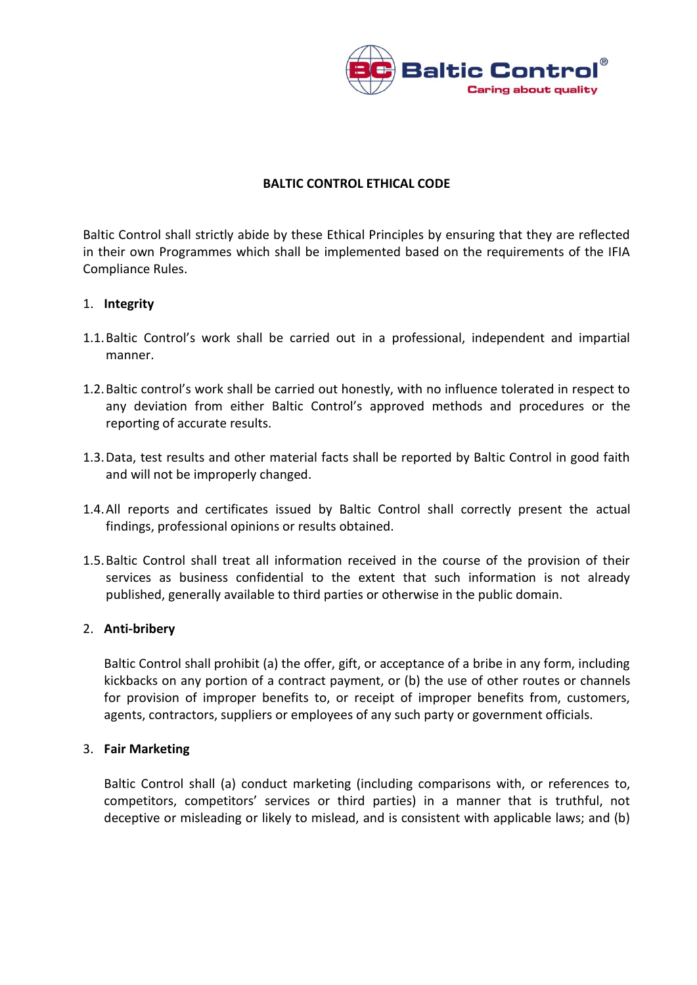

## **BALTIC CONTROL ETHICAL CODE**

Baltic Control shall strictly abide by these Ethical Principles by ensuring that they are reflected in their own Programmes which shall be implemented based on the requirements of the IFIA Compliance Rules.

## 1. **Integrity**

- 1.1.Baltic Control's work shall be carried out in a professional, independent and impartial manner.
- 1.2.Baltic control's work shall be carried out honestly, with no influence tolerated in respect to any deviation from either Baltic Control's approved methods and procedures or the reporting of accurate results.
- 1.3.Data, test results and other material facts shall be reported by Baltic Control in good faith and will not be improperly changed.
- 1.4.All reports and certificates issued by Baltic Control shall correctly present the actual findings, professional opinions or results obtained.
- 1.5.Baltic Control shall treat all information received in the course of the provision of their services as business confidential to the extent that such information is not already published, generally available to third parties or otherwise in the public domain.

## 2. **Anti-bribery**

Baltic Control shall prohibit (a) the offer, gift, or acceptance of a bribe in any form, including kickbacks on any portion of a contract payment, or (b) the use of other routes or channels for provision of improper benefits to, or receipt of improper benefits from, customers, agents, contractors, suppliers or employees of any such party or government officials.

## 3. **Fair Marketing**

Baltic Control shall (a) conduct marketing (including comparisons with, or references to, competitors, competitors' services or third parties) in a manner that is truthful, not deceptive or misleading or likely to mislead, and is consistent with applicable laws; and (b)